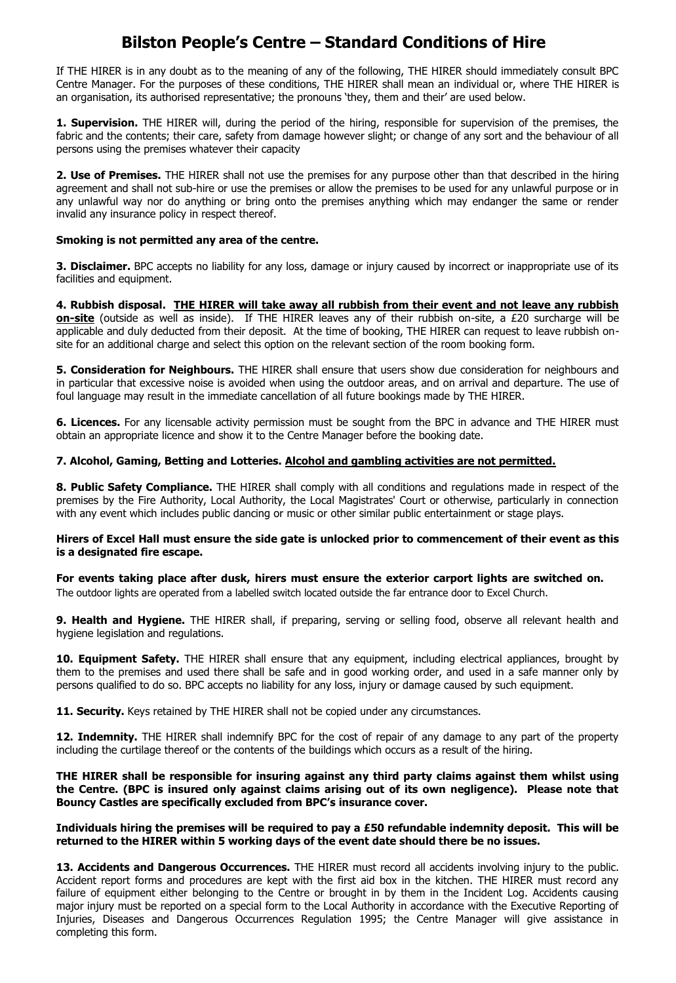# **Bilston People's Centre – Standard Conditions of Hire**

If THE HIRER is in any doubt as to the meaning of any of the following, THE HIRER should immediately consult BPC Centre Manager. For the purposes of these conditions, THE HIRER shall mean an individual or, where THE HIRER is an organisation, its authorised representative; the pronouns 'they, them and their' are used below.

**1. Supervision.** THE HIRER will, during the period of the hiring, responsible for supervision of the premises, the fabric and the contents; their care, safety from damage however slight; or change of any sort and the behaviour of all persons using the premises whatever their capacity

**2. Use of Premises.** THE HIRER shall not use the premises for any purpose other than that described in the hiring agreement and shall not sub-hire or use the premises or allow the premises to be used for any unlawful purpose or in any unlawful way nor do anything or bring onto the premises anything which may endanger the same or render invalid any insurance policy in respect thereof.

## **Smoking is not permitted any area of the centre.**

**3. Disclaimer.** BPC accepts no liability for any loss, damage or injury caused by incorrect or inappropriate use of its facilities and equipment.

**4. Rubbish disposal. THE HIRER will take away all rubbish from their event and not leave any rubbish on-site** (outside as well as inside). If THE HIRER leaves any of their rubbish on-site, a £20 surcharge will be applicable and duly deducted from their deposit. At the time of booking, THE HIRER can request to leave rubbish onsite for an additional charge and select this option on the relevant section of the room booking form.

**5. Consideration for Neighbours.** THE HIRER shall ensure that users show due consideration for neighbours and in particular that excessive noise is avoided when using the outdoor areas, and on arrival and departure. The use of foul language may result in the immediate cancellation of all future bookings made by THE HIRER.

**6. Licences.** For any licensable activity permission must be sought from the BPC in advance and THE HIRER must obtain an appropriate licence and show it to the Centre Manager before the booking date.

## **7. Alcohol, Gaming, Betting and Lotteries. Alcohol and gambling activities are not permitted.**

**8. Public Safety Compliance.** THE HIRER shall comply with all conditions and regulations made in respect of the premises by the Fire Authority, Local Authority, the Local Magistrates' Court or otherwise, particularly in connection with any event which includes public dancing or music or other similar public entertainment or stage plays.

### **Hirers of Excel Hall must ensure the side gate is unlocked prior to commencement of their event as this is a designated fire escape.**

**For events taking place after dusk, hirers must ensure the exterior carport lights are switched on.**  The outdoor lights are operated from a labelled switch located outside the far entrance door to Excel Church.

**9. Health and Hygiene.** THE HIRER shall, if preparing, serving or selling food, observe all relevant health and hygiene legislation and regulations.

**10. Equipment Safety.** THE HIRER shall ensure that any equipment, including electrical appliances, brought by them to the premises and used there shall be safe and in good working order, and used in a safe manner only by persons qualified to do so. BPC accepts no liability for any loss, injury or damage caused by such equipment.

**11. Security.** Keys retained by THE HIRER shall not be copied under any circumstances.

**12. Indemnity.** THE HIRER shall indemnify BPC for the cost of repair of any damage to any part of the property including the curtilage thereof or the contents of the buildings which occurs as a result of the hiring.

**THE HIRER shall be responsible for insuring against any third party claims against them whilst using the Centre. (BPC is insured only against claims arising out of its own negligence). Please note that Bouncy Castles are specifically excluded from BPC's insurance cover.** 

**Individuals hiring the premises will be required to pay a £50 refundable indemnity deposit. This will be returned to the HIRER within 5 working days of the event date should there be no issues.**

**13. Accidents and Dangerous Occurrences.** THE HIRER must record all accidents involving injury to the public. Accident report forms and procedures are kept with the first aid box in the kitchen. THE HIRER must record any failure of equipment either belonging to the Centre or brought in by them in the Incident Log. Accidents causing major injury must be reported on a special form to the Local Authority in accordance with the Executive Reporting of Injuries, Diseases and Dangerous Occurrences Regulation 1995; the Centre Manager will give assistance in completing this form.